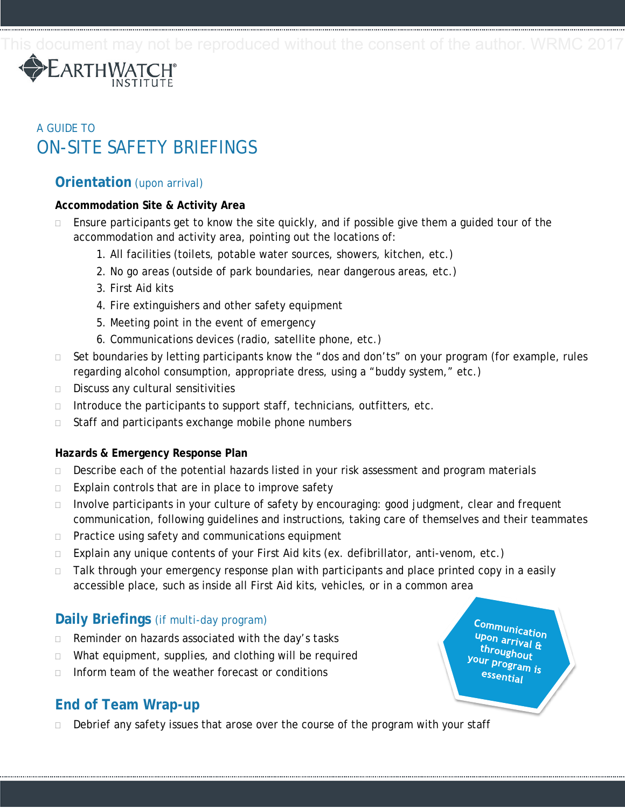

# A GUIDE TO ON-SITE SAFETY BRIEFINGS

### **Orientation** (upon arrival)

#### **Accommodation Site & Activity Area**

- Ensure participants get to know the site quickly, and if possible give them a guided tour of the accommodation and activity area, pointing out the locations of:
	- 1. All facilities (toilets, potable water sources, showers, kitchen, etc.)
	- 2. No go areas (outside of park boundaries, near dangerous areas, etc.)
	- 3. First Aid kits
	- 4. Fire extinguishers and other safety equipment
	- 5. Meeting point in the event of emergency
	- 6. Communications devices (radio, satellite phone, etc.)
- $\Box$  Set boundaries by letting participants know the "dos and don'ts" on your program (for example, rules regarding alcohol consumption, appropriate dress, using a "buddy system," etc.)
- $\Box$  Discuss any cultural sensitivities
- $\Box$  Introduce the participants to support staff, technicians, outfitters, etc.
- □ Staff and participants exchange mobile phone numbers

#### **Hazards & Emergency Response Plan**

- $\Box$  Describe each of the potential hazards listed in your risk assessment and program materials
- $\Box$  Explain controls that are in place to improve safety
- $\Box$  Involve participants in your culture of safety by encouraging: good judgment, clear and frequent communication, following guidelines and instructions, taking care of themselves and their teammates
- $\Box$  Practice using safety and communications equipment
- $\Box$  Explain any unique contents of your First Aid kits (ex. defibrillator, anti-venom, etc.)
- $\Box$  Talk through your emergency response plan with participants and place printed copy in a easily accessible place, such as inside all First Aid kits, vehicles, or in a common area

## **Daily Briefings** (if multi-day program)

- □ Reminder on hazards associated with the day's tasks
- □ What equipment, supplies, and clothing will be required
- Inform team of the weather forecast or conditions

## **End of Team Wrap-up**

 $\Box$  Debrief any safety issues that arose over the course of the program with your staff

Communication upon arrival & throughout your program is essential